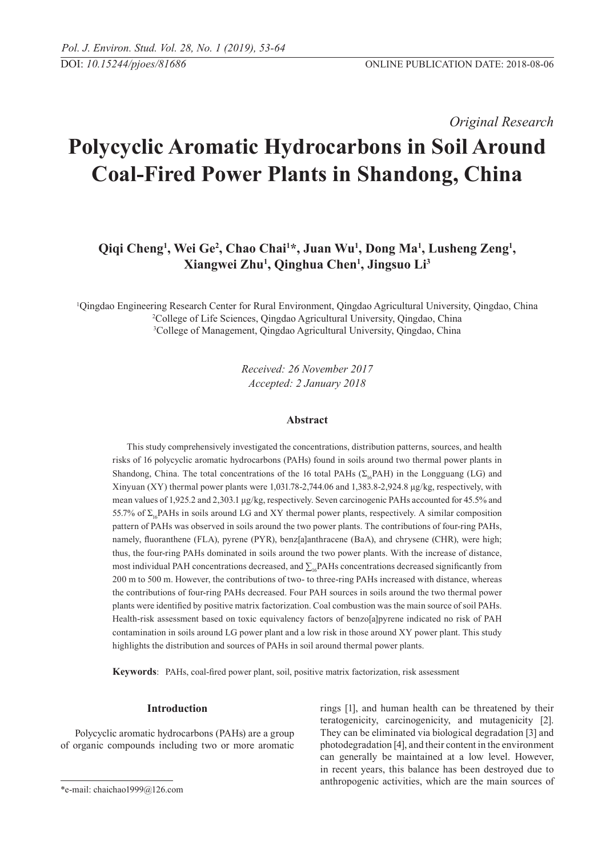*Original Research* 

# **Polycyclic Aromatic Hydrocarbons in Soil Around Coal-Fired Power Plants in Shandong, China**

Qiqi Cheng<sup>1</sup>, Wei Ge<sup>2</sup>, Chao Chai<sup>1\*</sup>, Juan Wu<sup>1</sup>, Dong Ma<sup>1</sup>, Lusheng Zeng<sup>1</sup>, **Xiangwei Zhu1 , Qinghua Chen1 , Jingsuo Li3**

1 Qingdao Engineering Research Center for Rural Environment, Qingdao Agricultural University, Qingdao, China 2 College of Life Sciences, Qingdao Agricultural University, Qingdao, China 3 College of Management, Qingdao Agricultural University, Qingdao, China

> *Received: 26 November 2017 Accepted: 2 January 2018*

# **Abstract**

This study comprehensively investigated the concentrations, distribution patterns, sources, and health risks of 16 polycyclic aromatic hydrocarbons (PAHs) found in soils around two thermal power plants in Shandong, China. The total concentrations of the 16 total PAHs ( $\Sigma$ <sub>ic</sub>PAH) in the Longguang (LG) and Xinyuan (XY) thermal power plants were 1,031.78-2,744.06 and 1,383.8-2,924.8 μg/kg, respectively, with mean values of 1,925.2 and 2,303.1 μg/kg, respectively. Seven carcinogenic PAHs accounted for 45.5% and 55.7% of Σ<sub>16</sub>PAHs in soils around LG and XY thermal power plants, respectively. A similar composition pattern of PAHs was observed in soils around the two power plants. The contributions of four-ring PAHs, namely, fluoranthene (FLA), pyrene (PYR), benz[a]anthracene (BaA), and chrysene (CHR), were high; thus, the four-ring PAHs dominated in soils around the two power plants. With the increase of distance, most individual PAH concentrations decreased, and  $\sum_{16}P\text{AHs}$  concentrations decreased significantly from 200 m to 500 m. However, the contributions of two- to three-ring PAHs increased with distance, whereas the contributions of four-ring PAHs decreased. Four PAH sources in soils around the two thermal power plants were identified by positive matrix factorization. Coal combustion was the main source of soil PAHs. Health-risk assessment based on toxic equivalency factors of benzo[a]pyrene indicated no risk of PAH contamination in soils around LG power plant and a low risk in those around XY power plant. This study highlights the distribution and sources of PAHs in soil around thermal power plants.

**Keywords**: PAHs, coal-fired power plant, soil, positive matrix factorization, risk assessment

## **Introduction**

Polycyclic aromatic hydrocarbons (PAHs) are a group of organic compounds including two or more aromatic rings [1], and human health can be threatened by their teratogenicity, carcinogenicity, and mutagenicity [2]. They can be eliminated via biological degradation [3] and photodegradation [4], and their content in the environment can generally be maintained at a low level. However, in recent years, this balance has been destroyed due to anthropogenic activities, which are the main sources of

<sup>\*</sup>e-mail: chaichao1999@126.com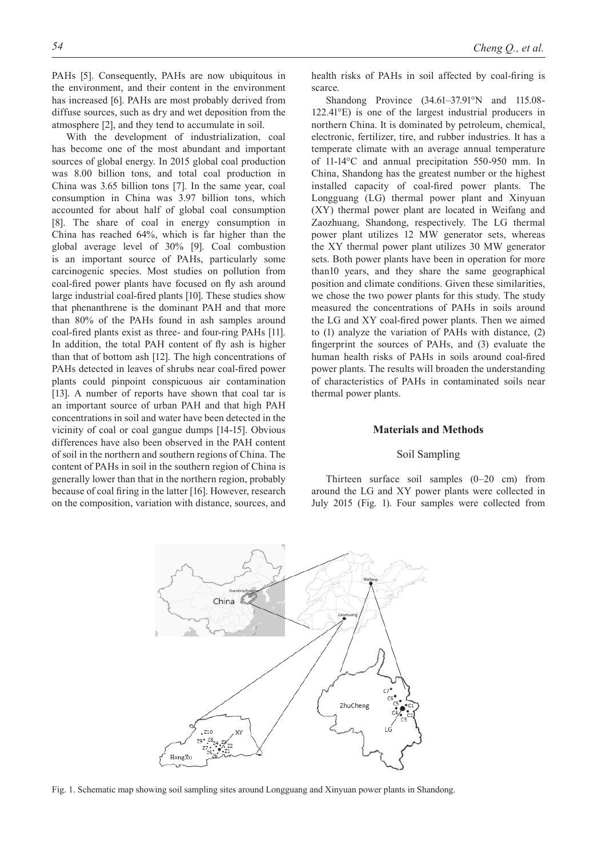PAHs [5]. Consequently, PAHs are now ubiquitous in the environment, and their content in the environment has increased [6]. PAHs are most probably derived from diffuse sources, such as dry and wet deposition from the atmosphere [2], and they tend to accumulate in soil.

With the development of industrialization, coal has become one of the most abundant and important sources of global energy. In 2015 global coal production was 8.00 billion tons, and total coal production in China was 3.65 billion tons [7]. In the same year, coal consumption in China was 3.97 billion tons, which accounted for about half of global coal consumption [8]. The share of coal in energy consumption in China has reached 64%, which is far higher than the global average level of 30% [9]. Coal combustion is an important source of PAHs, particularly some carcinogenic species. Most studies on pollution from coal-fired power plants have focused on fly ash around large industrial coal-fired plants [10]. These studies show that phenanthrene is the dominant PAH and that more than 80% of the PAHs found in ash samples around coal-fired plants exist as three- and four-ring PAHs [11]. In addition, the total PAH content of fly ash is higher than that of bottom ash [12]. The high concentrations of PAHs detected in leaves of shrubs near coal-fired power plants could pinpoint conspicuous air contamination [13]. A number of reports have shown that coal tar is an important source of urban PAH and that high PAH concentrations in soil and water have been detected in the vicinity of coal or coal gangue dumps [14-15]. Obvious differences have also been observed in the PAH content of soil in the northern and southern regions of China. The content of PAHs in soil in the southern region of China is generally lower than that in the northern region, probably because of coal firing in the latter [16]. However, research on the composition, variation with distance, sources, and

health risks of PAHs in soil affected by coal-firing is scarce.

Shandong Province (34.61–37.91°N and 115.08- 122.41°E) is one of the largest industrial producers in northern China. It is dominated by petroleum, chemical, electronic, fertilizer, tire, and rubber industries. It has a temperate climate with an average annual temperature of 11-14°C and annual precipitation 550-950 mm. In China, Shandong has the greatest number or the highest installed capacity of coal-fired power plants. The Longguang (LG) thermal power plant and Xinyuan (XY) thermal power plant are located in Weifang and Zaozhuang, Shandong, respectively. The LG thermal power plant utilizes 12 MW generator sets, whereas the XY thermal power plant utilizes 30 MW generator sets. Both power plants have been in operation for more than10 years, and they share the same geographical position and climate conditions. Given these similarities, we chose the two power plants for this study. The study measured the concentrations of PAHs in soils around the LG and XY coal-fired power plants. Then we aimed to (1) analyze the variation of PAHs with distance, (2) fingerprint the sources of PAHs, and (3) evaluate the human health risks of PAHs in soils around coal-fired power plants. The results will broaden the understanding of characteristics of PAHs in contaminated soils near thermal power plants.

## **Materials and Methods**

# Soil Sampling

Thirteen surface soil samples (0–20 cm) from around the LG and XY power plants were collected in July 2015 (Fig. 1). Four samples were collected from



Fig. 1. Schematic map showing soil sampling sites around Longguang and Xinyuan power plants in Shandong.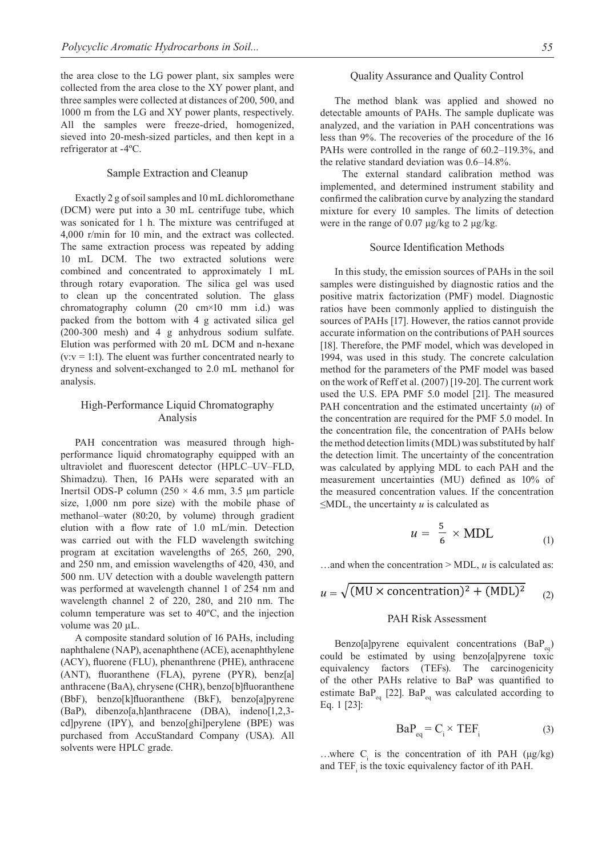the area close to the LG power plant, six samples were collected from the area close to the XY power plant, and three samples were collected at distances of 200, 500, and 1000 m from the LG and XY power plants, respectively. All the samples were freeze-dried, homogenized, sieved into 20-mesh-sized particles, and then kept in a refrigerator at -4ºC.

## Sample Extraction and Cleanup

Exactly 2 g of soil samples and 10 mL dichloromethane (DCM) were put into a 30 mL centrifuge tube, which was sonicated for 1 h. The mixture was centrifuged at 4,000 r/min for 10 min, and the extract was collected. The same extraction process was repeated by adding 10 mL DCM. The two extracted solutions were combined and concentrated to approximately 1 mL through rotary evaporation. The silica gel was used to clean up the concentrated solution. The glass chromatography column (20 cm×10 mm i.d.) was packed from the bottom with 4 g activated silica gel (200-300 mesh) and 4 g anhydrous sodium sulfate. Elution was performed with 20 mL DCM and n-hexane  $(v: v = 1:1)$ . The eluent was further concentrated nearly to dryness and solvent-exchanged to 2.0 mL methanol for analysis.

# High-Performance Liquid Chromatography Analysis

PAH concentration was measured through highperformance liquid chromatography equipped with an ultraviolet and fluorescent detector (HPLC–UV–FLD, Shimadzu). Then, 16 PAHs were separated with an Inertsil ODS-P column ( $250 \times 4.6$  mm,  $3.5$  µm particle size, 1,000 nm pore size) with the mobile phase of methanol–water (80:20, by volume) through gradient elution with a flow rate of 1.0 mL/min. Detection was carried out with the FLD wavelength switching program at excitation wavelengths of 265, 260, 290, and 250 nm, and emission wavelengths of 420, 430, and 500 nm. UV detection with a double wavelength pattern was performed at wavelength channel 1 of 254 nm and wavelength channel 2 of 220, 280, and 210 nm. The column temperature was set to 40ºC, and the injection volume was 20 μL.

A composite standard solution of 16 PAHs, including naphthalene (NAP), acenaphthene (ACE), acenaphthylene (ACY), fluorene (FLU), phenanthrene (PHE), anthracene (ANT), fluoranthene (FLA), pyrene (PYR), benz[a] anthracene (BaA), chrysene (CHR), benzo[b]fluoranthene (BbF), benzo[k]fluoranthene (BkF), benzo[a]pyrene (BaP), dibenzo[a,h]anthracene (DBA), indeno[1,2,3 cd]pyrene (IPY), and benzo[ghi]perylene (BPE) was purchased from AccuStandard Company (USA). All solvents were HPLC grade.

## Quality Assurance and Quality Control

The method blank was applied and showed no detectable amounts of PAHs. The sample duplicate was analyzed, and the variation in PAH concentrations was less than 9%. The recoveries of the procedure of the 16 PAHs were controlled in the range of 60.2–119.3%, and the relative standard deviation was 0.6–14.8%.

 The external standard calibration method was implemented, and determined instrument stability and confirmed the calibration curve by analyzing the standard mixture for every 10 samples. The limits of detection were in the range of 0.07  $\mu$ g/kg to 2  $\mu$ g/kg.

#### Source Identification Methods

In this study, the emission sources of PAHs in the soil samples were distinguished by diagnostic ratios and the positive matrix factorization (PMF) model. Diagnostic ratios have been commonly applied to distinguish the sources of PAHs [17]. However, the ratios cannot provide accurate information on the contributions of PAH sources [18]. Therefore, the PMF model, which was developed in 1994, was used in this study. The concrete calculation method for the parameters of the PMF model was based on the work of Reff et al. (2007) [19-20]. The current work used the U.S. EPA PMF 5.0 model [21]. The measured PAH concentration and the estimated uncertainty (*u*) of the concentration are required for the PMF 5.0 model. In the concentration file, the concentration of PAHs below the method detection limits (MDL) was substituted by half the detection limit. The uncertainty of the concentration was calculated by applying MDL to each PAH and the measurement uncertainties (MU) defined as 10% of the measured concentration values. If the concentration ≤MDL, the uncertainty *u* is calculated as

$$
u = \frac{5}{6} \times \text{MDL} \tag{1}
$$

…and when the concentration > MDL, *u* is calculated as:

$$
u = \sqrt{(MU \times concentration)^2 + (MDL)^2}
$$
 (2)

# PAH Risk Assessment

Benzo[a]pyrene equivalent concentrations  $(BaP_{eq})$ could be estimated by using benzo[a]pyrene toxic equivalency factors (TEFs). The carcinogenicity of the other PAHs relative to BaP was quantified to estimate  $BaP_{eq}$  [22].  $BaP_{eq}$  was calculated according to Eq. 1 [23]:

$$
BaP_{eq} = C_i \times TEF_i
$$
 (3)

...where  $C_i$  is the concentration of ith PAH ( $\mu$ g/kg) and  $TEF_i$  is the toxic equivalency factor of ith PAH.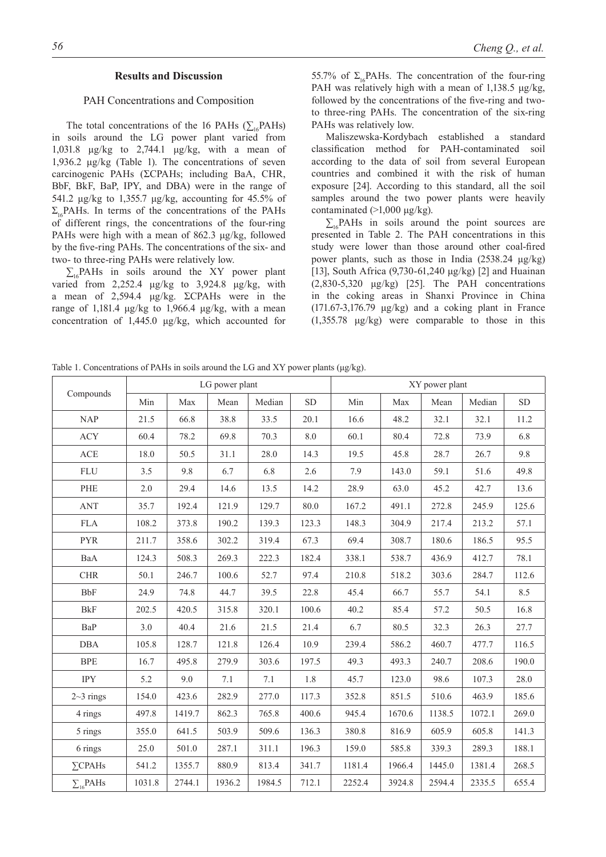# **Results and Discussion**

### PAH Concentrations and Composition

The total concentrations of the 16 PAHs ( $\sum_{16}$ PAHs) in soils around the LG power plant varied from 1,031.8 μg/kg to 2,744.1 μg/kg, with a mean of 1,936.2 μg/kg (Table 1). The concentrations of seven carcinogenic PAHs (ΣCPAHs; including BaA, CHR, BbF, BkF, BaP, IPY, and DBA) were in the range of 541.2 μg/kg to 1,355.7 μg/kg, accounting for 45.5% of  $\Sigma_{16}$ PAHs. In terms of the concentrations of the PAHs of different rings, the concentrations of the four-ring PAHs were high with a mean of 862.3 μg/kg, followed by the five-ring PAHs. The concentrations of the six- and two- to three-ring PAHs were relatively low.

 $\sum_{16}$ PAHs in soils around the XY power plant varied from 2,252.4  $\mu$ g/kg to 3,924.8  $\mu$ g/kg, with a mean of 2,594.4 μg/kg. ΣCPAHs were in the range of 1,181.4 μg/kg to 1,966.4 μg/kg, with a mean concentration of 1,445.0 μg/kg, which accounted for

55.7% of  $\Sigma_{16}$ PAHs. The concentration of the four-ring PAH was relatively high with a mean of 1,138.5 μg/kg, followed by the concentrations of the five-ring and twoto three-ring PAHs. The concentration of the six-ring PAHs was relatively low.

Maliszewska-Kordybach established a standard classification method for PAH-contaminated soil according to the data of soil from several European countries and combined it with the risk of human exposure [24]. According to this standard, all the soil samples around the two power plants were heavily contaminated  $(>1,000 \mu g/kg)$ .

 $\sum_{i=16} PAHs$  in soils around the point sources are presented in Table 2. The PAH concentrations in this study were lower than those around other coal-fired power plants, such as those in India (2538.24 μg/kg) [13], South Africa (9,730-61,240 μg/kg) [2] and Huainan (2,830-5,320 μg/kg) [25]. The PAH concentrations in the coking areas in Shanxi Province in China  $(171.67-3.176.79 \mu g/kg)$  and a coking plant in France (1,355.78 μg/kg) were comparable to those in this

Table 1. Concentrations of PAHs in soils around the LG and XY power plants  $(\mu g/kg)$ .

| Compounds        | LG power plant |        |        |        | XY power plant |        |        |        |        |       |
|------------------|----------------|--------|--------|--------|----------------|--------|--------|--------|--------|-------|
|                  | Min            | Max    | Mean   | Median | SD             | Min    | Max    | Mean   | Median | SD    |
| NAP              | 21.5           | 66.8   | 38.8   | 33.5   | 20.1           | 16.6   | 48.2   | 32.1   | 32.1   | 11.2  |
| <b>ACY</b>       | 60.4           | 78.2   | 69.8   | 70.3   | 8.0            | 60.1   | 80.4   | 72.8   | 73.9   | 6.8   |
| ACE              | 18.0           | 50.5   | 31.1   | 28.0   | 14.3           | 19.5   | 45.8   | 28.7   | 26.7   | 9.8   |
| <b>FLU</b>       | 3.5            | 9.8    | 6.7    | 6.8    | 2.6            | 7.9    | 143.0  | 59.1   | 51.6   | 49.8  |
| PHE              | $2.0\,$        | 29.4   | 14.6   | 13.5   | 14.2           | 28.9   | 63.0   | 45.2   | 42.7   | 13.6  |
| <b>ANT</b>       | 35.7           | 192.4  | 121.9  | 129.7  | 80.0           | 167.2  | 491.1  | 272.8  | 245.9  | 125.6 |
| <b>FLA</b>       | 108.2          | 373.8  | 190.2  | 139.3  | 123.3          | 148.3  | 304.9  | 217.4  | 213.2  | 57.1  |
| <b>PYR</b>       | 211.7          | 358.6  | 302.2  | 319.4  | 67.3           | 69.4   | 308.7  | 180.6  | 186.5  | 95.5  |
| BaA              | 124.3          | 508.3  | 269.3  | 222.3  | 182.4          | 338.1  | 538.7  | 436.9  | 412.7  | 78.1  |
| ${\rm CHR}$      | 50.1           | 246.7  | 100.6  | 52.7   | 97.4           | 210.8  | 518.2  | 303.6  | 284.7  | 112.6 |
| <b>BbF</b>       | 24.9           | 74.8   | 44.7   | 39.5   | 22.8           | 45.4   | 66.7   | 55.7   | 54.1   | 8.5   |
| <b>BkF</b>       | 202.5          | 420.5  | 315.8  | 320.1  | 100.6          | 40.2   | 85.4   | 57.2   | 50.5   | 16.8  |
| BaP              | 3.0            | 40.4   | 21.6   | 21.5   | 21.4           | 6.7    | 80.5   | 32.3   | 26.3   | 27.7  |
| <b>DBA</b>       | 105.8          | 128.7  | 121.8  | 126.4  | 10.9           | 239.4  | 586.2  | 460.7  | 477.7  | 116.5 |
| <b>BPE</b>       | 16.7           | 495.8  | 279.9  | 303.6  | 197.5          | 49.3   | 493.3  | 240.7  | 208.6  | 190.0 |
| <b>IPY</b>       | 5.2            | 9.0    | 7.1    | 7.1    | $1.8\,$        | 45.7   | 123.0  | 98.6   | 107.3  | 28.0  |
| $2~3$ rings      | 154.0          | 423.6  | 282.9  | 277.0  | 117.3          | 352.8  | 851.5  | 510.6  | 463.9  | 185.6 |
| 4 rings          | 497.8          | 1419.7 | 862.3  | 765.8  | 400.6          | 945.4  | 1670.6 | 1138.5 | 1072.1 | 269.0 |
| 5 rings          | 355.0          | 641.5  | 503.9  | 509.6  | 136.3          | 380.8  | 816.9  | 605.9  | 605.8  | 141.3 |
| 6 rings          | 25.0           | 501.0  | 287.1  | 311.1  | 196.3          | 159.0  | 585.8  | 339.3  | 289.3  | 188.1 |
| $\Sigma$ CPAHs   | 541.2          | 1355.7 | 880.9  | 813.4  | 341.7          | 1181.4 | 1966.4 | 1445.0 | 1381.4 | 268.5 |
| $\sum_{16}$ PAHs | 1031.8         | 2744.1 | 1936.2 | 1984.5 | 712.1          | 2252.4 | 3924.8 | 2594.4 | 2335.5 | 655.4 |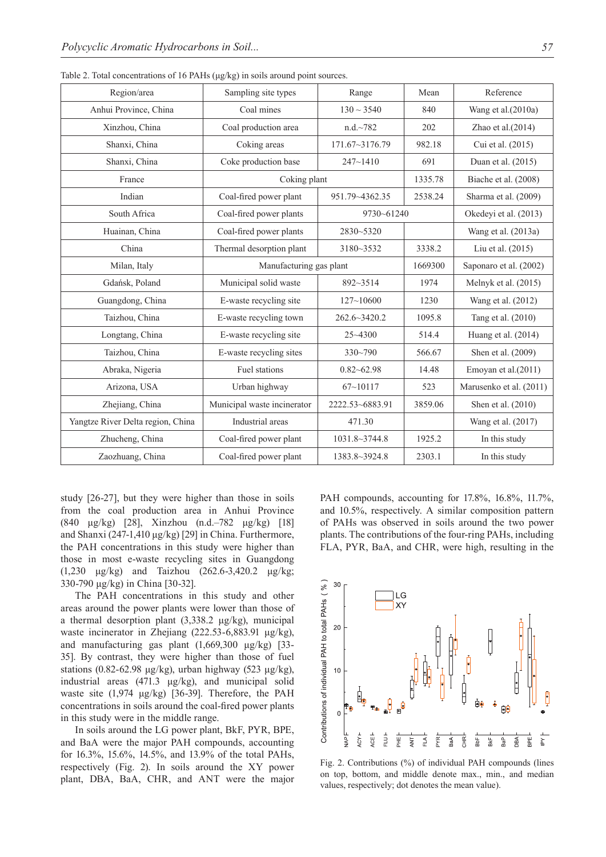| Region/area                       | Sampling site types                      | Range             | Mean                  | Reference               |  |
|-----------------------------------|------------------------------------------|-------------------|-----------------------|-------------------------|--|
| Anhui Province, China             | Coal mines                               | $130 \sim 3540$   | 840                   | Wang et al.(2010a)      |  |
| Xinzhou, China                    | Coal production area                     | n.d.~782          | 202                   | Zhao et al. $(2014)$    |  |
| Shanxi, China                     | Coking areas                             | 171.67~3176.79    | 982.18                | Cui et al. (2015)       |  |
| Shanxi, China                     | Coke production base                     | $247 - 1410$      | 691                   | Duan et al. (2015)      |  |
| France                            | Coking plant                             | 1335.78           | Biache et al. (2008)  |                         |  |
| Indian                            | Coal-fired power plant<br>951.79~4362.35 |                   | 2538.24               | Sharma et al. (2009)    |  |
| South Africa                      | Coal-fired power plants                  | 9730~61240        | Okedeyi et al. (2013) |                         |  |
| Huainan, China                    | Coal-fired power plants                  | 2830~5320         |                       | Wang et al. (2013a)     |  |
| China                             | Thermal desorption plant                 | 3180~3532         | 3338.2                |                         |  |
| Milan, Italy                      | Manufacturing gas plant                  |                   | 1669300               | Saponaro et al. (2002)  |  |
| Gdańsk, Poland                    | Municipal solid waste                    | $892 - 3514$      | 1974                  | Melnyk et al. $(2015)$  |  |
| Guangdong, China                  | E-waste recycling site                   | $127 - 10600$     | 1230                  | Wang et al. (2012)      |  |
| Taizhou, China                    | E-waste recycling town                   | 262.6~3420.2      | 1095.8                | Tang et al. (2010)      |  |
| Longtang, China                   | E-waste recycling site                   | $25 - 4300$       | 514.4                 | Huang et al. (2014)     |  |
| Taizhou, China                    | E-waste recycling sites                  | 330~790           | 566.67                | Shen et al. (2009)      |  |
| Abraka, Nigeria                   | Fuel stations                            | $0.82 - 62.98$    | 14.48                 | Emoyan et al. $(2011)$  |  |
| Arizona, USA                      | Urban highway                            | $67 - 10117$      | 523                   | Marusenko et al. (2011) |  |
| Zhejiang, China                   | Municipal waste incinerator              | 2222.53~6883.91   | 3859.06               | Shen et al. (2010)      |  |
| Yangtze River Delta region, China | Industrial areas                         | 471.30            |                       | Wang et al. (2017)      |  |
| Zhucheng, China                   | Coal-fired power plant                   | $1031.8 - 3744.8$ | 1925.2                | In this study           |  |
| Zaozhuang, China                  | Coal-fired power plant                   | 1383.8~3924.8     | 2303.1                | In this study           |  |

Table 2. Total concentrations of 16 PAHs (μg/kg) in soils around point sources.

study [26-27], but they were higher than those in soils from the coal production area in Anhui Province (840 μg/kg) [28], Xinzhou (n.d.–782 μg/kg) [18] and Shanxi (247-1,410 μg/kg) [29] in China. Furthermore, the PAH concentrations in this study were higher than those in most e-waste recycling sites in Guangdong (1,230 μg/kg) and Taizhou (262.6-3,420.2 μg/kg; 330-790 μg/kg) in China [30-32].

The PAH concentrations in this study and other areas around the power plants were lower than those of a thermal desorption plant (3,338.2 μg/kg), municipal waste incinerator in Zhejiang (222.53-6,883.91 μg/kg), and manufacturing gas plant  $(1,669,300 \text{ \mu g/kg})$  [33-35]. By contrast, they were higher than those of fuel stations (0.82-62.98 μg/kg), urban highway (523 μg/kg), industrial areas (471.3 μg/kg), and municipal solid waste site (1,974 μg/kg) [36-39]. Therefore, the PAH concentrations in soils around the coal-fired power plants in this study were in the middle range.

In soils around the LG power plant, BkF, PYR, BPE, and BaA were the major PAH compounds, accounting for 16.3%, 15.6%, 14.5%, and 13.9% of the total PAHs, respectively (Fig. 2). In soils around the XY power plant, DBA, BaA, CHR, and ANT were the major

PAH compounds, accounting for 17.8%, 16.8%, 11.7%, and 10.5%, respectively. A similar composition pattern of PAHs was observed in soils around the two power plants. The contributions of the four-ring PAHs, including FLA, PYR, BaA, and CHR, were high, resulting in the



Fig. 2. Contributions (%) of individual PAH compounds (lines on top, bottom, and middle denote max., min., and median values, respectively; dot denotes the mean value).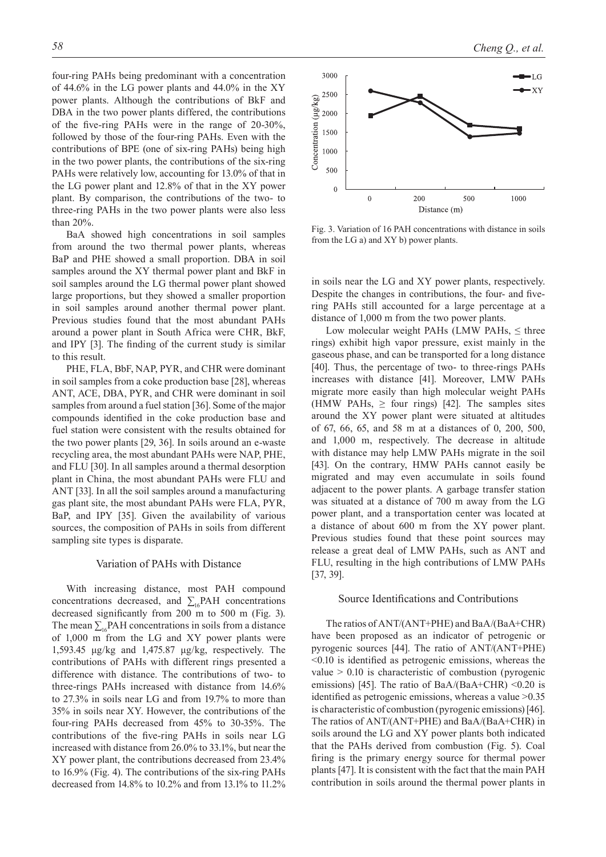four-ring PAHs being predominant with a concentration of 44.6% in the LG power plants and 44.0% in the XY power plants. Although the contributions of BkF and DBA in the two power plants differed, the contributions of the five-ring PAHs were in the range of 20-30%, followed by those of the four-ring PAHs. Even with the contributions of BPE (one of six-ring PAHs) being high in the two power plants, the contributions of the six-ring PAHs were relatively low, accounting for 13.0% of that in the LG power plant and 12.8% of that in the XY power plant. By comparison, the contributions of the two- to three-ring PAHs in the two power plants were also less than 20%.

BaA showed high concentrations in soil samples from around the two thermal power plants, whereas BaP and PHE showed a small proportion. DBA in soil samples around the XY thermal power plant and BkF in soil samples around the LG thermal power plant showed large proportions, but they showed a smaller proportion in soil samples around another thermal power plant. Previous studies found that the most abundant PAHs around a power plant in South Africa were CHR, BkF, and IPY [3]. The finding of the current study is similar to this result.

PHE, FLA, BbF, NAP, PYR, and CHR were dominant in soil samples from a coke production base [28], whereas ANT, ACE, DBA, PYR, and CHR were dominant in soil samples from around a fuel station [36]. Some of the major compounds identified in the coke production base and fuel station were consistent with the results obtained for the two power plants [29, 36]. In soils around an e-waste recycling area, the most abundant PAHs were NAP, PHE, and FLU [30]. In all samples around a thermal desorption plant in China, the most abundant PAHs were FLU and ANT [33]. In all the soil samples around a manufacturing gas plant site, the most abundant PAHs were FLA, PYR, BaP, and IPY [35]. Given the availability of various sources, the composition of PAHs in soils from different sampling site types is disparate.

# Variation of PAHs with Distance

With increasing distance, most PAH compound concentrations decreased, and  $\sum_{16} PAH$  concentrations decreased significantly from 200 m to 500 m (Fig. 3). The mean  $\sum_{i}$ PAH concentrations in soils from a distance of 1,000 m from the LG and XY power plants were 1,593.45 μg/kg and 1,475.87 μg/kg, respectively. The contributions of PAHs with different rings presented a difference with distance. The contributions of two- to three-rings PAHs increased with distance from 14.6% to 27.3% in soils near LG and from 19.7% to more than 35% in soils near XY. However, the contributions of the four-ring PAHs decreased from 45% to 30-35%. The contributions of the five-ring PAHs in soils near LG increased with distance from 26.0% to 33.1%, but near the XY power plant, the contributions decreased from 23.4% to 16.9% (Fig. 4). The contributions of the six-ring PAHs decreased from 14.8% to 10.2% and from 13.1% to 11.2%



Fig. 3. Variation of 16 PAH concentrations with distance in soils from the LG a) and XY b) power plants.

in soils near the LG and XY power plants, respectively. Despite the changes in contributions, the four- and fivering PAHs still accounted for a large percentage at a distance of 1,000 m from the two power plants.

Low molecular weight PAHs (LMW PAHs,  $\leq$  three rings) exhibit high vapor pressure, exist mainly in the gaseous phase, and can be transported for a long distance [40]. Thus, the percentage of two- to three-rings PAHs increases with distance [41]. Moreover, LMW PAHs migrate more easily than high molecular weight PAHs (HMW PAHs,  $\geq$  four rings) [42]. The samples sites around the XY power plant were situated at altitudes of 67, 66, 65, and 58 m at a distances of 0, 200, 500, and 1,000 m, respectively. The decrease in altitude with distance may help LMW PAHs migrate in the soil [43]. On the contrary, HMW PAHs cannot easily be migrated and may even accumulate in soils found adjacent to the power plants. A garbage transfer station was situated at a distance of 700 m away from the LG power plant, and a transportation center was located at a distance of about 600 m from the XY power plant. Previous studies found that these point sources may release a great deal of LMW PAHs, such as ANT and FLU, resulting in the high contributions of LMW PAHs [37, 39].

#### Source Identifications and Contributions

The ratios of ANT/(ANT+PHE) and BaA/(BaA+CHR) have been proposed as an indicator of petrogenic or pyrogenic sources [44]. The ratio of ANT/(ANT+PHE) <0.10 is identified as petrogenic emissions, whereas the value  $> 0.10$  is characteristic of combustion (pyrogenic emissions) [45]. The ratio of BaA/(BaA+CHR) < $0.20$  is identified as petrogenic emissions, whereas a value >0.35 is characteristic of combustion (pyrogenic emissions) [46]. The ratios of ANT/(ANT+PHE) and BaA/(BaA+CHR) in soils around the LG and XY power plants both indicated that the PAHs derived from combustion (Fig. 5). Coal firing is the primary energy source for thermal power plants [47]. It is consistent with the fact that the main PAH contribution in soils around the thermal power plants in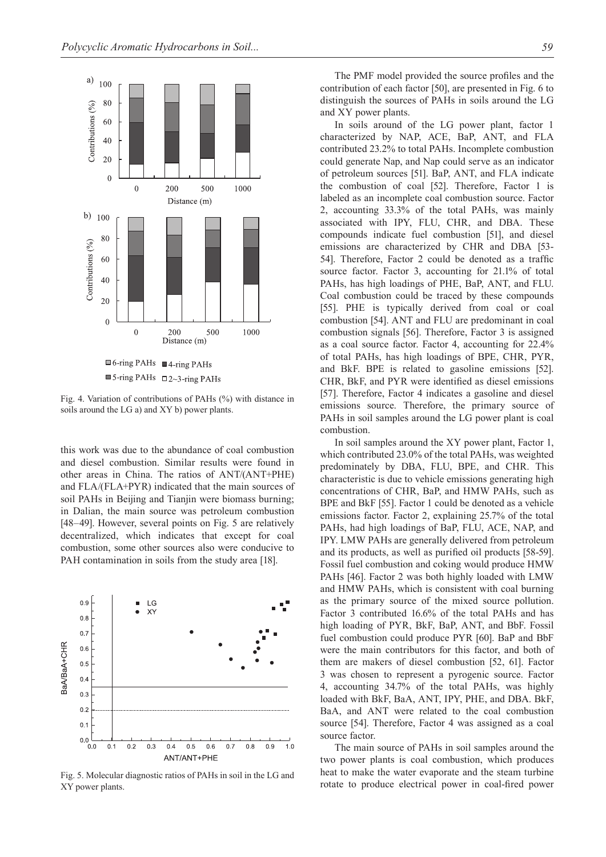

Fig. 4. Variation of contributions of PAHs (%) with distance in soils around the LG a) and XY b) power plants.

this work was due to the abundance of coal combustion and diesel combustion. Similar results were found in other areas in China. The ratios of ANT/(ANT+PHE) and FLA/(FLA+PYR) indicated that the main sources of soil PAHs in Beijing and Tianjin were biomass burning; in Dalian, the main source was petroleum combustion [48–49]. However, several points on Fig. 5 are relatively decentralized, which indicates that except for coal combustion, some other sources also were conducive to PAH contamination in soils from the study area [18].



Fig. 5. Molecular diagnostic ratios of PAHs in soil in the LG and XY power plants.

The PMF model provided the source profiles and the contribution of each factor [50], are presented in Fig. 6 to distinguish the sources of PAHs in soils around the LG and XY power plants.

In soils around of the LG power plant, factor 1 characterized by NAP, ACE, BaP, ANT, and FLA contributed 23.2% to total PAHs. Incomplete combustion could generate Nap, and Nap could serve as an indicator of petroleum sources [51]. BaP, ANT, and FLA indicate the combustion of coal [52]. Therefore, Factor 1 is labeled as an incomplete coal combustion source. Factor 2, accounting 33.3% of the total PAHs, was mainly associated with IPY, FLU, CHR, and DBA. These compounds indicate fuel combustion [51], and diesel emissions are characterized by CHR and DBA [53- 54]. Therefore, Factor 2 could be denoted as a traffic source factor. Factor 3, accounting for 21.1% of total PAHs, has high loadings of PHE, BaP, ANT, and FLU. Coal combustion could be traced by these compounds [55]. PHE is typically derived from coal or coal combustion [54]. ANT and FLU are predominant in coal combustion signals [56]. Therefore, Factor 3 is assigned as a coal source factor. Factor 4, accounting for 22.4% of total PAHs, has high loadings of BPE, CHR, PYR, and BkF. BPE is related to gasoline emissions [52]. CHR, BkF, and PYR were identified as diesel emissions [57]. Therefore, Factor 4 indicates a gasoline and diesel emissions source. Therefore, the primary source of PAHs in soil samples around the LG power plant is coal combustion.

In soil samples around the XY power plant, Factor 1, which contributed 23.0% of the total PAHs, was weighted predominately by DBA, FLU, BPE, and CHR. This characteristic is due to vehicle emissions generating high concentrations of CHR, BaP, and HMW PAHs, such as BPE and BkF [55]. Factor 1 could be denoted as a vehicle emissions factor. Factor 2, explaining 25.7% of the total PAHs, had high loadings of BaP, FLU, ACE, NAP, and IPY. LMW PAHs are generally delivered from petroleum and its products, as well as purified oil products [58-59]. Fossil fuel combustion and coking would produce HMW PAHs [46]. Factor 2 was both highly loaded with LMW and HMW PAHs, which is consistent with coal burning as the primary source of the mixed source pollution. Factor 3 contributed 16.6% of the total PAHs and has high loading of PYR, BkF, BaP, ANT, and BbF. Fossil fuel combustion could produce PYR [60]. BaP and BbF were the main contributors for this factor, and both of them are makers of diesel combustion [52, 61]. Factor 3 was chosen to represent a pyrogenic source. Factor 4, accounting 34.7% of the total PAHs, was highly loaded with BkF, BaA, ANT, IPY, PHE, and DBA. BkF, BaA, and ANT were related to the coal combustion source [54]. Therefore, Factor 4 was assigned as a coal source factor.

The main source of PAHs in soil samples around the two power plants is coal combustion, which produces heat to make the water evaporate and the steam turbine rotate to produce electrical power in coal-fired power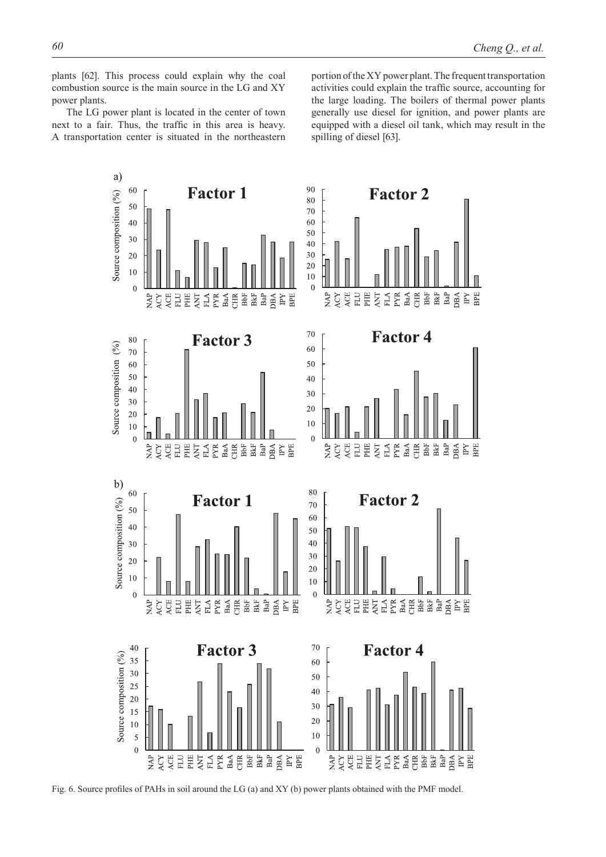plants [62]. This process could explain why the coal combustion source is the main source in the LG and XY power plants.

The LG power plant is located in the center of town next to a fair. Thus, the traffic in this area is heavy. A transportation center is situated in the northeastern portion of the XY power plant. The frequent transportation activities could explain the traffic source, accounting for the large loading. The boilers of thermal power plants generally use diesel for ignition, and power plants are equipped with a diesel oil tank, which may result in the spilling of diesel [63].



Fig. 6. Source profiles of PAHs in soil around the LG (a) and XY (b) power plants obtained with the PMF model.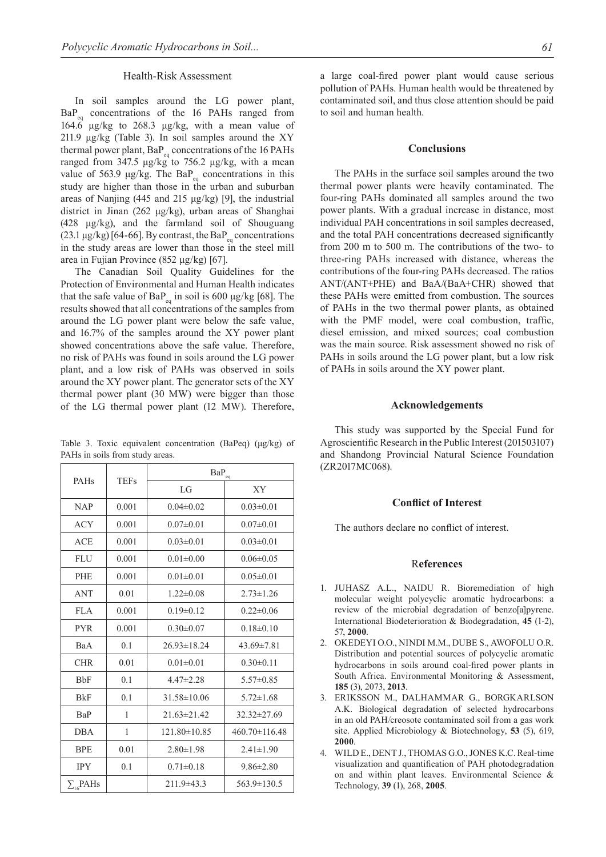#### Health-Risk Assessment

In soil samples around the LG power plant,  $BaP_{eq}$  concentrations of the 16 PAHs ranged from 164.6 μg/kg to 268.3 μg/kg, with a mean value of 211.9 μg/kg (Table 3). In soil samples around the XY thermal power plant,  $BaP_{eq}$  concentrations of the 16 PAHs ranged from 347.5  $\mu$ g/kg to 756.2  $\mu$ g/kg, with a mean value of 563.9 μg/kg. The BaP<sub>eq</sub> concentrations in this study are higher than those in the urban and suburban areas of Nanjing (445 and 215 μg/kg) [9], the industrial district in Jinan (262 μg/kg), urban areas of Shanghai (428 μg/kg), and the farmland soil of Shouguang (23.1  $\mu$ g/kg) [64-66]. By contrast, the BaP<sub>eq</sub> concentrations in the study areas are lower than those in the steel mill area in Fujian Province (852 μg/kg) [67].

The Canadian Soil Quality Guidelines for the Protection of Environmental and Human Health indicates that the safe value of  $BaP_{eq}$  in soil is 600  $\mu$ g/kg [68]. The results showed that all concentrations of the samples from around the LG power plant were below the safe value, and 16.7% of the samples around the XY power plant showed concentrations above the safe value. Therefore, no risk of PAHs was found in soils around the LG power plant, and a low risk of PAHs was observed in soils around the XY power plant. The generator sets of the XY thermal power plant (30 MW) were bigger than those of the LG thermal power plant (12 MW). Therefore,

Table 3. Toxic equivalent concentration (BaPeq) (μg/kg) of PAHs in soils from study areas.

| PAHs               | <b>TEFs</b> | $\mathrm{BaP}_{\mathrm{eq}}$ |                     |  |  |
|--------------------|-------------|------------------------------|---------------------|--|--|
|                    |             | LG                           | XY                  |  |  |
| <b>NAP</b>         | 0.001       | $0.04\pm0.02$                | $0.03 \pm 0.01$     |  |  |
| <b>ACY</b>         | 0.001       | $0.07 \pm 0.01$              | $0.07 \pm 0.01$     |  |  |
| <b>ACE</b>         | 0.001       | $0.03 \pm 0.01$              | $0.03 \pm 0.01$     |  |  |
| <b>FLU</b>         | 0.001       | $0.01 \pm 0.00$              | $0.06 \pm 0.05$     |  |  |
| PHE                | 0.001       | $0.01 \pm 0.01$              | $0.05 \pm 0.01$     |  |  |
| <b>ANT</b>         | 0.01        | $1.22 \pm 0.08$              | $2.73 \pm 1.26$     |  |  |
| <b>FLA</b>         | 0.001       | $0.19 \pm 0.12$              | $0.22 \pm 0.06$     |  |  |
| <b>PYR</b>         | 0.001       | $0.30 \pm 0.07$              | $0.18 \pm 0.10$     |  |  |
| BaA                | 0.1         | $26.93 \pm 18.24$            | $43.69 \pm 7.81$    |  |  |
| <b>CHR</b>         | 0.01        | $0.01 \pm 0.01$              | $0.30 \pm 0.11$     |  |  |
| <b>BbF</b>         | 0.1         | $4.47 \pm 2.28$              | $5.57 \pm 0.85$     |  |  |
| <b>BkF</b>         | 0.1         | $31.58 \pm 10.06$            | $5.72 \pm 1.68$     |  |  |
| BaP                | 1           | $21.63 \pm 21.42$            | $32.32 \pm 27.69$   |  |  |
| <b>DBA</b>         | 1           | 121.80±10.85                 | $460.70 \pm 116.48$ |  |  |
| <b>BPE</b>         | 0.01        | $2.80 \pm 1.98$              | $2.41 \pm 1.90$     |  |  |
| <b>IPY</b>         | 0.1         | $0.71 \pm 0.18$              | $9.86 \pm 2.80$     |  |  |
| $\Sigma_{16}$ PAHs |             | $211.9 \pm 43.3$             | 563.9±130.5         |  |  |

a large coal-fired power plant would cause serious pollution of PAHs. Human health would be threatened by contaminated soil, and thus close attention should be paid to soil and human health.

### **Conclusions**

The PAHs in the surface soil samples around the two thermal power plants were heavily contaminated. The four-ring PAHs dominated all samples around the two power plants. With a gradual increase in distance, most individual PAH concentrations in soil samples decreased, and the total PAH concentrations decreased significantly from 200 m to 500 m. The contributions of the two- to three-ring PAHs increased with distance, whereas the contributions of the four-ring PAHs decreased. The ratios ANT/(ANT+PHE) and BaA/(BaA+CHR) showed that these PAHs were emitted from combustion. The sources of PAHs in the two thermal power plants, as obtained with the PMF model, were coal combustion, traffic, diesel emission, and mixed sources; coal combustion was the main source. Risk assessment showed no risk of PAHs in soils around the LG power plant, but a low risk of PAHs in soils around the XY power plant.

# **Acknowledgements**

This study was supported by the Special Fund for Agroscientific Research in the Public Interest (201503107) and Shandong Provincial Natural Science Foundation (ZR2017MC068).

## **Conflict of Interest**

The authors declare no conflict of interest.

### R**eferences**

- 1. JUHASZ A.L., NAIDU R. Bioremediation of high molecular weight polycyclic aromatic hydrocarbons: a review of the microbial degradation of benzo[a]pyrene. International Biodeterioration & Biodegradation, **45** (1-2), 57, **2000**.
- 2. Okedeyi O.O., Nindi M.M., Dube S., Awofolu O.R. Distribution and potential sources of polycyclic aromatic hydrocarbons in soils around coal-fired power plants in South Africa. Environmental Monitoring & Assessment, **185** (3), 2073, **2013**.
- 3. Eriksson M., Dalhammar G., Borgkarlson A.K. Biological degradation of selected hydrocarbons in an old PAH/creosote contaminated soil from a gas work site. Applied Microbiology & Biotechnology, **53** (5), 619, **2000**.
- 4. Wild E., Dent J., Thomas G.O., Jones K.C. Real-time visualization and quantification of PAH photodegradation on and within plant leaves. Environmental Science & Technology, **39** (1), 268, **2005**.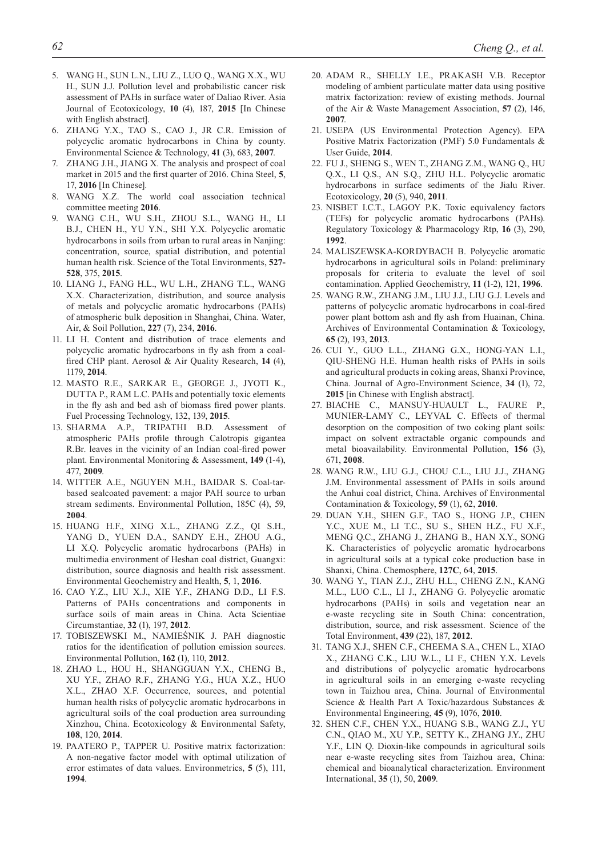- 5. Wang H., Sun L.N., Liu Z., Luo Q., Wang X.X., Wu H., SUN J.J. Pollution level and probabilistic cancer risk assessment of PAHs in surface water of Daliao River. Asia Journal of Ecotoxicology, **10** (4), 187, **2015** [In Chinese with English abstract].
- 6. Zhang Y.X., Tao S., Cao J., Jr C.R. Emission of polycyclic aromatic hydrocarbons in China by county. Environmental Science & Technology, **41** (3), 683, **2007**.
- 7. Zhang J.H., Jiang X. The analysis and prospect of coal market in 2015 and the first quarter of 2016. China Steel, **5**, 17, **2016** [In Chinese].
- 8. Wang X.Z. The world coal association technical committee meeting **2016**.
- 9. Wang C.H., Wu S.H., Zhou S.L., Wang H., Li B.J., Chen H., Yu Y.N., Shi Y.X. Polycyclic aromatic hydrocarbons in soils from urban to rural areas in Nanjing: concentration, source, spatial distribution, and potential human health risk. Science of the Total Environments, **527- 528**, 375, **2015**.
- 10. Liang J., Fang H.L., Wu L.H., Zhang T.L., Wang X.X. Characterization, distribution, and source analysis of metals and polycyclic aromatic hydrocarbons (PAHs) of atmospheric bulk deposition in Shanghai, China. Water, Air, & Soil Pollution, **227** (7), 234, **2016**.
- 11. Li H. Content and distribution of trace elements and polycyclic aromatic hydrocarbons in fly ash from a coalfired CHP plant. Aerosol & Air Quality Research, **14** (4), 1179, **2014**.
- 12. Masto R.E., Sarkar E., George J., Jyoti K., DUTTA P., RAM L.C. PAHs and potentially toxic elements in the fly ash and bed ash of biomass fired power plants. Fuel Processing Technology, 132, 139, **2015**.
- 13. SHARMA A.P., TRIPATHI B.D. Assessment of atmospheric PAHs profile through Calotropis gigantea R.Br. leaves in the vicinity of an Indian coal-fired power plant. Environmental Monitoring & Assessment, **149** (1-4), 477, **2009**.
- 14. Witter A.E., Nguyen M.H., Baidar S. Coal-tarbased sealcoated pavement: a major PAH source to urban stream sediments. Environmental Pollution, 185C (4), 59, **2004**.
- 15. Huang H.F., Xing X.L., Zhang Z.Z., Qi S.H., Yang D., Yuen D.A., Sandy E.H., Zhou A.G., Li X.Q. Polycyclic aromatic hydrocarbons (PAHs) in multimedia environment of Heshan coal district, Guangxi: distribution, source diagnosis and health risk assessment. Environmental Geochemistry and Health, **5**, 1, **2016**.
- 16. Cao Y.Z., Liu X.J., Xie Y.F., Zhang D.D., Li F.S. Patterns of PAHs concentrations and components in surface soils of main areas in China. Acta Scientiae Circumstantiae, **32** (1), 197, **2012**.
- 17. Tobiszewski M., Namieśnik J. PAH diagnostic ratios for the identification of pollution emission sources. Environmental Pollution, **162** (1), 110, **2012**.
- 18. Zhao L., Hou H., Shangguan Y.X., Cheng B., Xu Y.F., Zhao R.F., Zhang Y.G., Hua X.Z., Huo X.L., ZHAO X.F. Occurrence, sources, and potential human health risks of polycyclic aromatic hydrocarbons in agricultural soils of the coal production area surrounding Xinzhou, China. Ecotoxicology & Environmental Safety, **108**, 120, **2014**.
- 19. Paatero P., Tapper U. Positive matrix factorization: A non-negative factor model with optimal utilization of error estimates of data values. Environmetrics, **5** (5), 111, **1994**.
- 20. Adam R., Shelly I.E., Prakash V.B. Receptor modeling of ambient particulate matter data using positive matrix factorization: review of existing methods. Journal of the Air & Waste Management Association, **57** (2), 146, **2007**.
- 21. USEPA (US Environmental Protection Agency). EPA Positive Matrix Factorization (PMF) 5.0 Fundamentals & User Guide, **2014**.
- 22. Fu J., Sheng S., Wen T., Zhang Z.M., Wang Q., Hu Q.X., Li Q.S., An S.Q., Zhu H.L. Polycyclic aromatic hydrocarbons in surface sediments of the Jialu River. Ecotoxicology, **20** (5), 940, **2011**.
- 23. NISBET I.C.T., LAGOY P.K. Toxic equivalency factors (TEFs) for polycyclic aromatic hydrocarbons (PAHs). Regulatory Toxicology & Pharmacology Rtp, **16** (3), 290, **1992**.
- 24. Maliszewska-Kordybach B. Polycyclic aromatic hydrocarbons in agricultural soils in Poland: preliminary proposals for criteria to evaluate the level of soil contamination. Applied Geochemistry, **11** (1-2), 121, **1996**.
- 25. Wang R.W., Zhang J.M., Liu J.J., Liu G.J. Levels and patterns of polycyclic aromatic hydrocarbons in coal-fired power plant bottom ash and fly ash from Huainan, China. Archives of Environmental Contamination & Toxicology, **65** (2), 193, **2013**.
- 26. Cui Y., Guo L.L., Zhang G.X., Hong-Yan L.I., Qiu-Sheng H.E. Human health risks of PAHs in soils and agricultural products in coking areas, Shanxi Province, China. Journal of Agro-Environment Science, **34** (1), 72, **2015** [in Chinese with English abstract].
- 27. Biache C., Mansuy-Huault L., Faure P., Munier-Lamy C., Leyval C. Effects of thermal desorption on the composition of two coking plant soils: impact on solvent extractable organic compounds and metal bioavailability. Environmental Pollution, **156** (3), 671, **2008**.
- 28. Wang R.W., Liu G.J., Chou C.L., Liu J.J., Zhang J.M. Environmental assessment of PAHs in soils around the Anhui coal district, China. Archives of Environmental Contamination & Toxicology, **59** (1), 62, **2010**.
- 29. Duan Y.H., Shen G.F., Tao S., Hong J.P., Chen Y.C., Xue M., Li T.C., Su S., Shen H.Z., Fu X.F., Meng Q.C., Zhang J., Zhang B., Han X.Y., Song K. Characteristics of polycyclic aromatic hydrocarbons in agricultural soils at a typical coke production base in Shanxi, China. Chemosphere, **127C**, 64, **2015**.
- 30. Wang Y., Tian Z.J., Zhu H.L., Cheng Z.N., Kang M.L., Luo C.L., Li J., Zhang G. Polycyclic aromatic hydrocarbons (PAHs) in soils and vegetation near an e-waste recycling site in South China: concentration, distribution, source, and risk assessment. Science of the Total Environment, **439** (22), 187, **2012**.
- 31. Tang X.J., Shen C.F., Cheema S.A., Chen L., Xiao X., Zhang C.K., Liu W.L., Li F., Chen Y.X. Levels and distributions of polycyclic aromatic hydrocarbons in agricultural soils in an emerging e-waste recycling town in Taizhou area, China. Journal of Environmental Science & Health Part A Toxic/hazardous Substances & Environmental Engineering, **45** (9), 1076, **2010**.
- 32. Shen C.F., Chen Y.X., Huang S.B., Wang Z.J., Yu C.N., Qiao M., Xu Y.P., Setty K., Zhang J.Y., Zhu Y.F., Lin Q. Dioxin-like compounds in agricultural soils near e-waste recycling sites from Taizhou area, China: chemical and bioanalytical characterization. Environment International, **35** (1), 50, **2009**.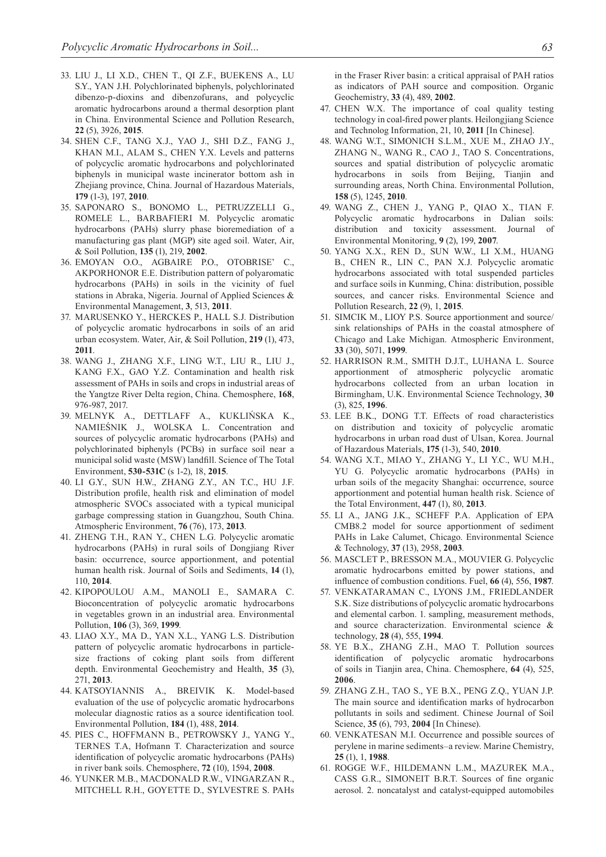- 33. Liu J., Li X.D., Chen T., Qi Z.F., Buekens A., Lu S.Y., Yan J.H. Polychlorinated biphenyls, polychlorinated dibenzo-p-dioxins and dibenzofurans, and polycyclic aromatic hydrocarbons around a thermal desorption plant in China. Environmental Science and Pollution Research, **22** (5), 3926, **2015**.
- 34. Shen C.F., Tang X.J., Yao J., Shi D.Z., Fang J., KHAN M.I., ALAM S., CHEN Y.X. Levels and patterns of polycyclic aromatic hydrocarbons and polychlorinated biphenyls in municipal waste incinerator bottom ash in Zhejiang province, China. Journal of Hazardous Materials, **179** (1-3), 197, **2010**.
- 35. Saponaro S., Bonomo L., Petruzzelli G., Romele L., Barbafieri M. Polycyclic aromatic hydrocarbons (PAHs) slurry phase bioremediation of a manufacturing gas plant (MGP) site aged soil. Water, Air, & Soil Pollution, **135** (1), 219, **2002**.
- 36. Emoyan O.O., Agbaire P.O., Otobrise' C., AKPORHONOR E.E. Distribution pattern of polyaromatic hydrocarbons (PAHs) in soils in the vicinity of fuel stations in Abraka, Nigeria. Journal of Applied Sciences & Environmental Management, **3**, 513, **2011**.
- 37. Marusenko Y., Herckes P., Hall S.J. Distribution of polycyclic aromatic hydrocarbons in soils of an arid urban ecosystem. Water, Air, & Soil Pollution, **219** (1), 473, **2011**.
- 38. Wang J., Zhang X.F., Ling W.T., Liu R., Liu J., Kang F.X., Gao Y.Z. Contamination and health risk assessment of PAHs in soils and crops in industrial areas of the Yangtze River Delta region, China. Chemosphere, **168**, 976-987, 2017.
- 39. Melnyk A., Dettlaff A., Kuklińska K., Namieśnik J., Wolska L. Concentration and sources of polycyclic aromatic hydrocarbons (PAHs) and polychlorinated biphenyls (PCBs) in surface soil near a municipal solid waste (MSW) landfill. Science of The Total Environment, **530-531C** (s 1-2), 18, **2015**.
- 40. Li G.Y., Sun H.W., Zhang Z.Y., An T.C., Hu J.F. Distribution profile, health risk and elimination of model atmospheric SVOCs associated with a typical municipal garbage compressing station in Guangzhou, South China. Atmospheric Environment, **76** (76), 173, **2013**.
- 41. Zheng T.H., Ran Y., Chen L.G. Polycyclic aromatic hydrocarbons (PAHs) in rural soils of Dongjiang River basin: occurrence, source apportionment, and potential human health risk. Journal of Soils and Sediments, **14** (1), 110, **2014**.
- 42. Kipopoulou A.M., Manoli E., Samara C. Bioconcentration of polycyclic aromatic hydrocarbons in vegetables grown in an industrial area. Environmental Pollution, **106** (3), 369, **1999**.
- 43. Liao X.Y., Ma D., Yan X.L., Yang L.S. Distribution pattern of polycyclic aromatic hydrocarbons in particlesize fractions of coking plant soils from different depth. Environmental Geochemistry and Health, **35** (3), 271, **2013**.
- 44. Katsoyiannis A., Breivik K. Model-based evaluation of the use of polycyclic aromatic hydrocarbons molecular diagnostic ratios as a source identification tool. Environmental Pollution, **184** (1), 488, **2014**.
- 45. Pies C., Hoffmann B., Petrowsky J., Yang Y., TERNES T.A, Hofmann T. Characterization and source identification of polycyclic aromatic hydrocarbons (PAHs) in river bank soils. Chemosphere, **72** (10), 1594, **2008**.
- 46. Yunker M.B., Macdonald R.W., Vingarzan R., Mitchell R.H., Goyette D., Sylvestre S. PAHs

in the Fraser River basin: a critical appraisal of PAH ratios as indicators of PAH source and composition. Organic Geochemistry, **33** (4), 489, **2002**.

- 47. CHEN W.X. The importance of coal quality testing technology in coal-fired power plants. Heilongjiang Science and Technolog Information, 21, 10, **2011** [In Chinese].
- 48. Wang W.T., Simonich S.L.M., Xue M., Zhao J.Y., ZHANG N., WANG R., CAO J., TAO S. Concentrations, sources and spatial distribution of polycyclic aromatic hydrocarbons in soils from Beijing, Tianjin and surrounding areas, North China. Environmental Pollution, **158** (5), 1245, **2010**.
- 49. Wang Z., Chen J., Yang P., Qiao X., Tian F. Polycyclic aromatic hydrocarbons in Dalian soils: distribution and toxicity assessment. Journal of Environmental Monitoring, **9** (2), 199, **2007**.
- 50. Yang X.X., Ren D., Sun W.W., Li X.M., Huang B., Chen R., Lin C., Pan X.J. Polycyclic aromatic hydrocarbons associated with total suspended particles and surface soils in Kunming, China: distribution, possible sources, and cancer risks. Environmental Science and Pollution Research, **22** (9), 1, **2015**.
- 51. Simcik M., Lioy P.S. Source apportionment and source/ sink relationships of PAHs in the coastal atmosphere of Chicago and Lake Michigan. Atmospheric Environment, **33** (30), 5071, **1999**.
- 52. Harrison R.M., Smith D.J.T., Luhana L. Source apportionment of atmospheric polycyclic aromatic hydrocarbons collected from an urban location in Birmingham, U.K. Environmental Science Technology, **30** (3), 825, **1996**.
- 53. Lee B.K., Dong T.T. Effects of road characteristics on distribution and toxicity of polycyclic aromatic hydrocarbons in urban road dust of Ulsan, Korea. Journal of Hazardous Materials, **175** (1-3), 540, **2010**.
- 54. Wang X.T., Miao Y., Zhang Y., Li Y.C., Wu M.H., Yu G. Polycyclic aromatic hydrocarbons (PAHs) in urban soils of the megacity Shanghai: occurrence, source apportionment and potential human health risk. Science of the Total Environment, **447** (1), 80, **2013**.
- 55. Li A., Jang J.K., Scheff P.A. Application of EPA CMB8.2 model for source apportionment of sediment PAHs in Lake Calumet, Chicago. Environmental Science & Technology, **37** (13), 2958, **2003**.
- 56. Masclet P., Bresson M.A., Mouvier G. Polycyclic aromatic hydrocarbons emitted by power stations, and influence of combustion conditions. Fuel, **66** (4), 556, **1987**.
- 57. Venkataraman C., Lyons J.M., Friedlander S.K. Size distributions of polycyclic aromatic hydrocarbons and elemental carbon. 1. sampling, measurement methods, and source characterization. Environmental science & technology, **28** (4), 555, **1994**.
- 58. Ye B.X., Zhang Z.H., Mao T. Pollution sources identification of polycyclic aromatic hydrocarbons of soils in Tianjin area, China. Chemosphere, **64** (4), 525, **2006**.
- 59. Zhang Z.H., Tao S., Ye B.X., Peng Z.Q., Yuan J.P. The main source and identification marks of hydrocarbon pollutants in soils and sediment. Chinese Journal of Soil Science, **35** (6), 793, **2004** [In Chinese).
- 60. Venkatesan M.I. Occurrence and possible sources of perylene in marine sediments–a review. Marine Chemistry, **25** (1), 1, **1988**.
- 61. Rogge W.F., Hildemann L.M., Mazurek M.A., CASS G.R., SIMONEIT B.R.T. Sources of fine organic aerosol. 2. noncatalyst and catalyst-equipped automobiles